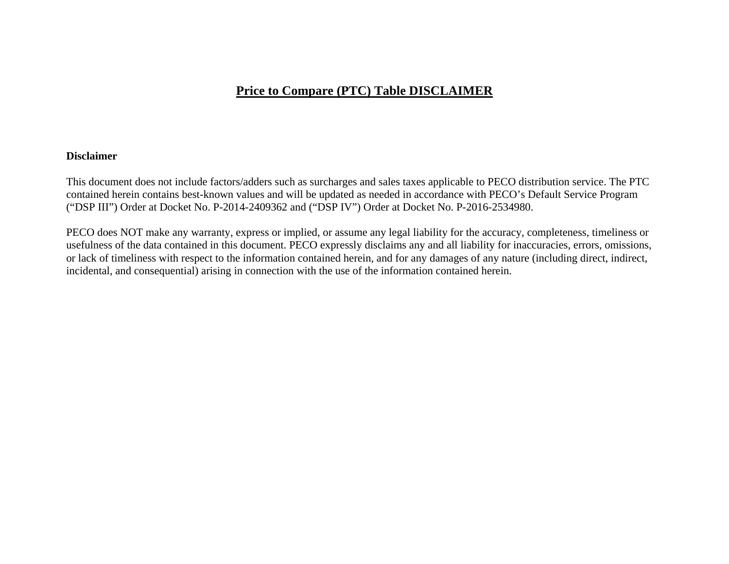### **Price to Compare (PTC) Table DISCLAIMER**

#### **Disclaimer**

This document does not include factors/adders such as surcharges and sales taxes applicable to PECO distribution service. The PTC contained herein contains best-known values and will be updated as needed in accordance with PECO's Default Service Program ("DSP III") Order at Docket No. P-2014-2409362 and ("DSP IV") Order at Docket No. P-2016-2534980.

PECO does NOT make any warranty, express or implied, or assume any legal liability for the accuracy, completeness, timeliness or usefulness of the data contained in this document. PECO expressly disclaims any and all liability for inaccuracies, errors, omissions, or lack of timeliness with respect to the information contained herein, and for any damages of any nature (including direct, indirect, incidental, and consequential) arising in connection with the use of the information contained herein.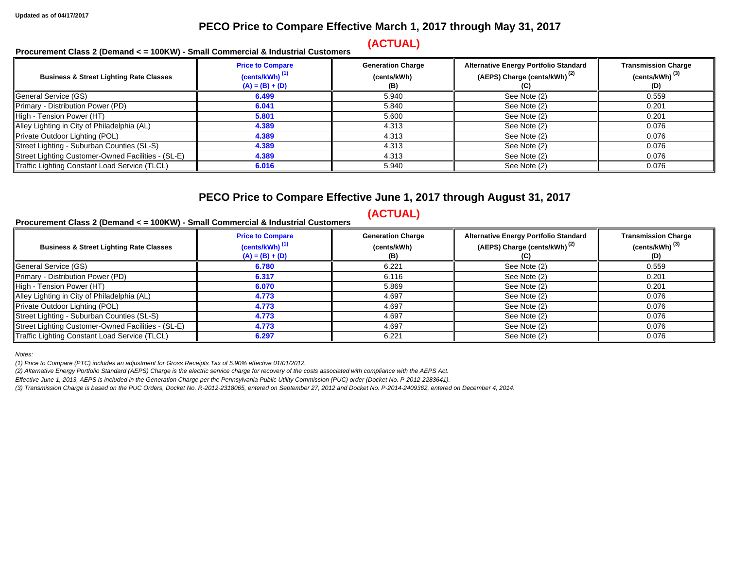#### **PECO Price to Compare Effective March 1, 2017 through May 31, 2017**

## **(ACTUAL) Procurement Class 2 (Demand < = 100KW) - Small Commercial & Industrial Customers**

| <b>Business &amp; Street Lighting Rate Classes</b> | <b>Price to Compare</b><br>(cents/kWh) <sup>(1)</sup><br>$(A) = (B) + (D)$ | <b>Generation Charge</b><br>(cents/kWh)<br>(B) | <b>Alternative Energy Portfolio Standard</b><br>(AEPS) Charge (cents/kWh) <sup>(2)</sup> | <b>Transmission Charge</b><br>(cents/kWh) <sup>(3)</sup><br>(D) |
|----------------------------------------------------|----------------------------------------------------------------------------|------------------------------------------------|------------------------------------------------------------------------------------------|-----------------------------------------------------------------|
| General Service (GS)                               | 6.499                                                                      | 5.940                                          | See Note (2)                                                                             | 0.559                                                           |
| Primary - Distribution Power (PD)                  | 6.041                                                                      | 5.840                                          | See Note (2)                                                                             | 0.201                                                           |
| High - Tension Power (HT)                          | 5.801                                                                      | 5.600                                          | See Note (2)                                                                             | 0.201                                                           |
| Alley Lighting in City of Philadelphia (AL)        | 4.389                                                                      | 4.313                                          | See Note (2)                                                                             | 0.076                                                           |
| Private Outdoor Lighting (POL)                     | 4.389                                                                      | 4.313                                          | See Note (2)                                                                             | 0.076                                                           |
| Street Lighting - Suburban Counties (SL-S)         | 4.389                                                                      | 4.313                                          | See Note (2)                                                                             | 0.076                                                           |
| Street Lighting Customer-Owned Facilities - (SL-E) | 4.389                                                                      | 4.313                                          | See Note (2)                                                                             | 0.076                                                           |
| Traffic Lighting Constant Load Service (TLCL)      | 6.016                                                                      | 5.940                                          | See Note (2)                                                                             | 0.076                                                           |

#### **PECO Price to Compare Effective June 1, 2017 through August 31, 2017**

## **(ACTUAL) Procurement Class 2 (Demand < = 100KW) - Small Commercial & Industrial Customers**

| <b>Business &amp; Street Lighting Rate Classes</b> | <b>Price to Compare</b><br>(cents/kWh) <sup>(1)</sup><br>$(A) = (B) + (D)$ | <b>Generation Charge</b><br>(cents/kWh)<br>(B) | <b>Alternative Energy Portfolio Standard</b><br>(AEPS) Charge (cents/kWh) <sup>(2)</sup> | <b>Transmission Charge</b><br>(cents/kWh) <sup>(3)</sup><br>(D) |
|----------------------------------------------------|----------------------------------------------------------------------------|------------------------------------------------|------------------------------------------------------------------------------------------|-----------------------------------------------------------------|
| General Service (GS)                               | 6.780                                                                      | 6.221                                          | See Note (2)                                                                             | 0.559                                                           |
| Primary - Distribution Power (PD)                  | 6.317                                                                      | 6.116                                          | See Note (2)                                                                             | 0.201                                                           |
| High - Tension Power (HT)                          | 6.070                                                                      | 5.869                                          | See Note (2)                                                                             | 0.201                                                           |
| Alley Lighting in City of Philadelphia (AL)        | 4.773                                                                      | 4.697                                          | See Note (2)                                                                             | 0.076                                                           |
| Private Outdoor Lighting (POL)                     | 4.773                                                                      | 4.697                                          | See Note (2)                                                                             | 0.076                                                           |
| Street Lighting - Suburban Counties (SL-S)         | 4.773                                                                      | 4.697                                          | See Note (2)                                                                             | 0.076                                                           |
| Street Lighting Customer-Owned Facilities - (SL-E) | 4.773                                                                      | 4.697                                          | See Note (2)                                                                             | 0.076                                                           |
| Traffic Lighting Constant Load Service (TLCL)      | 6.297                                                                      | 6.221                                          | See Note (2)                                                                             | 0.076                                                           |

*Notes:* 

*(1) Price to Compare (PTC) includes an adjustment for Gross Receipts Tax of 5.90% effective 01/01/2012.* 

*(2) Alternative Energy Portfolio Standard (AEPS) Charge is the electric service charge for recovery of the costs associated with compliance with the AEPS Act.* 

*Effective June 1, 2013, AEPS is included in the Generation Charge per the Pennsylvania Public Utility Commission (PUC) order (Docket No. P-2012-2283641).* 

*(3) Transmission Charge is based on the PUC Orders, Docket No. R-2012-2318065, entered on September 27, 2012 and Docket No. P-2014-2409362, entered on December 4, 2014.*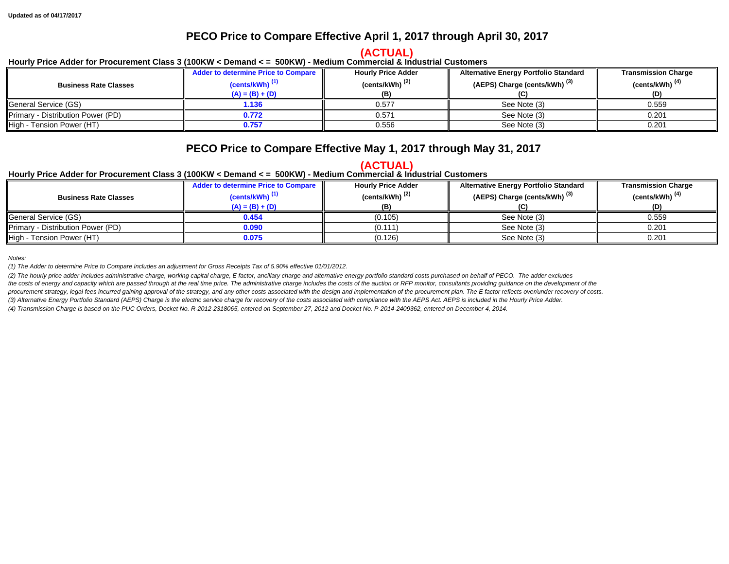#### **PECO Price to Compare Effective April 1, 2017 through April 30, 2017**

# **(ACTUAL) Hourly Price Adder for Procurement Class 3 (100KW < Demand < = 500KW) - Medium Commercial & Industrial Customers**

|                                   | Adder to determine Price to Compare | <b>Hourly Price Adder</b>  | <b>Alternative Energy Portfolio Standard</b> | <b>Transmission Charge</b> |
|-----------------------------------|-------------------------------------|----------------------------|----------------------------------------------|----------------------------|
| <b>Business Rate Classes</b>      | $(cents/kWh)$ <sup>(1)</sup>        | (cents/kWh) <sup>(2)</sup> | (AEPS) Charge (cents/kWh) <sup>(3)</sup>     | (cents/kWh) <sup>(4)</sup> |
|                                   | $(A) = (B) + (D)$                   | (B)                        |                                              | (D)                        |
| <b>I</b> General Service (GS)     | 1.136                               | 0.577                      | See Note (3)                                 | 0.559                      |
| Primary - Distribution Power (PD) | 0.772                               | 0.571                      | See Note (3)                                 | 0.201                      |
| High - Tension Power (HT)         | 0.757                               | 0.556                      | See Note (3)                                 | 0.201                      |

### **PECO Price to Compare Effective May 1, 2017 through May 31, 2017**

# **(ACTUAL) Hourly Price Adder for Procurement Class 3 (100KW < Demand < = 500KW) - Medium Commercial & Industrial Customers**

|                                   | <b>Adder to determine Price to Compare</b> | <b>Hourly Price Adder</b>  | <b>Alternative Energy Portfolio Standard</b> | <b>Transmission Charge</b> |
|-----------------------------------|--------------------------------------------|----------------------------|----------------------------------------------|----------------------------|
| <b>Business Rate Classes</b>      | $(cents/kWh)$ <sup>(1)</sup>               | (cents/kWh) <sup>(2)</sup> | (AEPS) Charge (cents/kWh) <sup>(3)</sup>     | (cents/kWh) <sup>(4)</sup> |
|                                   | $(A) = (B) + (D)$                          |                            |                                              | (D)                        |
| General Service (GS)              | 0.454                                      | (0.105)                    | See Note (3)                                 | 0.559                      |
| Primary - Distribution Power (PD) | 0.090                                      | (0.111)                    | See Note (3)                                 | 0.201                      |
| High - Tension Power (HT)         | 0.075                                      | (0.126)                    | See Note (3)                                 | 0.201                      |

*Notes:* 

*(1) The Adder to determine Price to Compare includes an adjustment for Gross Receipts Tax of 5.90% effective 01/01/2012.* 

*(2) The hourly price adder includes administrative charge, working capital charge, E factor, ancillary charge and alternative energy portfolio standard costs purchased on behalf of PECO. The adder excludes*  the costs of energy and capacity which are passed through at the real time price. The administrative charge includes the costs of the auction or RFP monitor, consultants providing guidance on the development of the procurement strategy, legal fees incurred gaining approval of the strategy, and any other costs associated with the design and implementation of the procurement plan. The E factor reflects over/under recovery of costs. *(3) Alternative Energy Portfolio Standard (AEPS) Charge is the electric service charge for recovery of the costs associated with compliance with the AEPS Act. AEPS is included in the Hourly Price Adder.* 

*(4) Transmission Charge is based on the PUC Orders, Docket No. R-2012-2318065, entered on September 27, 2012 and Docket No. P-2014-2409362, entered on December 4, 2014.*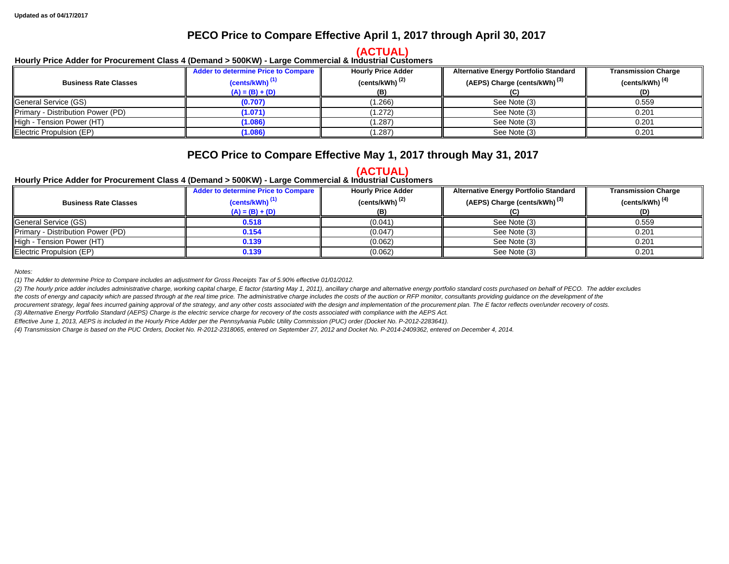#### **PECO Price to Compare Effective April 1, 2017 through April 30, 2017**

# **(ACTUAL) Hourly Price Adder for Procurement Class 4 (Demand > 500KW) - Large Commercial & Industrial Customers**

|                                   | Adder to determine Price to Compare | <b>Hourly Price Adder</b>  | <b>Alternative Energy Portfolio Standard</b> | <b>Transmission Charge</b> |
|-----------------------------------|-------------------------------------|----------------------------|----------------------------------------------|----------------------------|
| <b>Business Rate Classes</b>      | $(cents/kWh)$ <sup>(1)</sup>        | (cents/kWh) <sup>(2)</sup> | (AEPS) Charge (cents/kWh) <sup>(3)</sup>     | (cents/kWh) $(4)$          |
|                                   | $(A) = (B) + (D)$                   | (B)                        |                                              | (D)                        |
| General Service (GS)              | (0.707)                             | (1.266)                    | See Note (3)                                 | 0.559                      |
| Primary - Distribution Power (PD) | (1.071)                             | (1.272)                    | See Note (3)                                 | 0.201                      |
| High - Tension Power (HT)         | (1.086)                             | (1.287)                    | See Note (3)                                 | 0.201                      |
| Electric Propulsion (EP)          | (1.086)                             | (1.287)                    | See Note (3)                                 | 0.201                      |

### **PECO Price to Compare Effective May 1, 2017 through May 31, 2017**

# **(ACTUAL) Hourly Price Adder for Procurement Class 4 (Demand > 500KW) - Large Commercial & Industrial Customers**

| <b>Business Rate Classes</b>      | <b>Adder to determine Price to Compare</b><br>(cents/kWh) <sup>(1)</sup><br>$(A) = (B) + (D)$ | <b>Hourly Price Adder</b><br>(cents/kWh) <sup>(2)</sup><br>(B) | <b>Alternative Energy Portfolio Standard</b><br>(AEPS) Charge (cents/kWh) <sup>(3)</sup> | <b>Transmission Charge</b><br>(cents/kWh) <sup>(4)</sup><br>(D) |
|-----------------------------------|-----------------------------------------------------------------------------------------------|----------------------------------------------------------------|------------------------------------------------------------------------------------------|-----------------------------------------------------------------|
| General Service (GS)              | 0.518                                                                                         | (0.041)                                                        | See Note (3)                                                                             | 0.559                                                           |
| Primary - Distribution Power (PD) | 0.154                                                                                         | (0.047)                                                        | See Note (3)                                                                             | 0.201                                                           |
| High - Tension Power (HT)         | 0.139                                                                                         | (0.062)                                                        | See Note (3)                                                                             | 0.201                                                           |
| Electric Propulsion (EP)          | 0.139                                                                                         | (0.062)                                                        | See Note (3)                                                                             | 0.201                                                           |

*Notes:* 

*(1) The Adder to determine Price to Compare includes an adjustment for Gross Receipts Tax of 5.90% effective 01/01/2012.* 

(2) The hourly price adder includes administrative charge, working capital charge, E factor (starting May 1, 2011), ancillary charge and alternative energy portfolio standard costs purchased on behalf of PECO. The adder ex

the costs of energy and capacity which are passed through at the real time price. The administrative charge includes the costs of the auction or RFP monitor, consultants providing guidance on the development of the procurement strategy, legal fees incurred gaining approval of the strategy, and any other costs associated with the design and implementation of the procurement plan. The E factor reflects over/under recovery of costs.

*(3) Alternative Energy Portfolio Standard (AEPS) Charge is the electric service charge for recovery of the costs associated with compliance with the AEPS Act.* 

*Effective June 1, 2013, AEPS is included in the Hourly Price Adder per the Pennsylvania Public Utility Commission (PUC) order (Docket No. P-2012-2283641).* 

*(4) Transmission Charge is based on the PUC Orders, Docket No. R-2012-2318065, entered on September 27, 2012 and Docket No. P-2014-2409362, entered on December 4, 2014.*